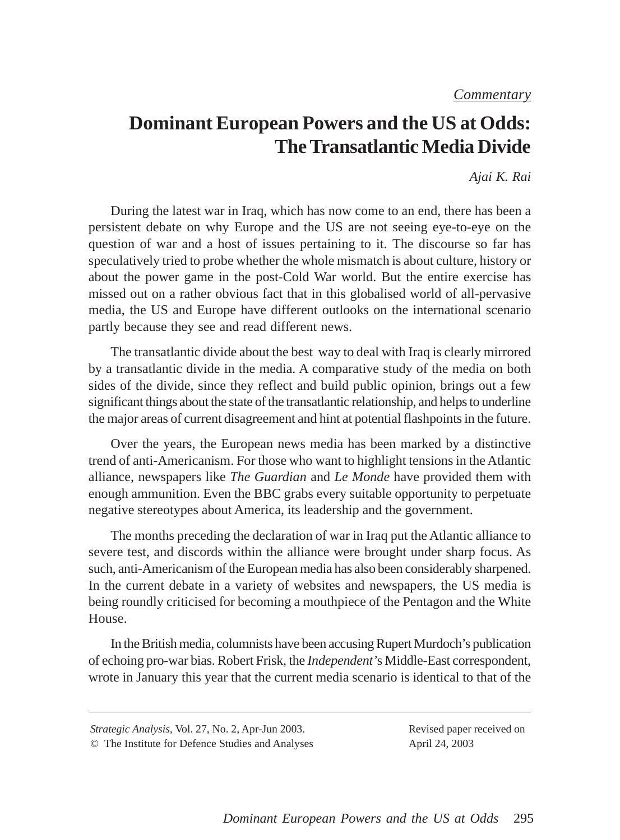## **Dominant European Powers and the US at Odds: The Transatlantic Media Divide**

 *Ajai K. Rai*

During the latest war in Iraq, which has now come to an end, there has been a persistent debate on why Europe and the US are not seeing eye-to-eye on the question of war and a host of issues pertaining to it. The discourse so far has speculatively tried to probe whether the whole mismatch is about culture, history or about the power game in the post-Cold War world. But the entire exercise has missed out on a rather obvious fact that in this globalised world of all-pervasive media, the US and Europe have different outlooks on the international scenario partly because they see and read different news.

The transatlantic divide about the best way to deal with Iraq is clearly mirrored by a transatlantic divide in the media. A comparative study of the media on both sides of the divide, since they reflect and build public opinion, brings out a few significant things about the state of the transatlantic relationship, and helps to underline the major areas of current disagreement and hint at potential flashpoints in the future.

Over the years, the European news media has been marked by a distinctive trend of anti-Americanism. For those who want to highlight tensions in the Atlantic alliance, newspapers like *The Guardian* and *Le Monde* have provided them with enough ammunition. Even the BBC grabs every suitable opportunity to perpetuate negative stereotypes about America, its leadership and the government.

The months preceding the declaration of war in Iraq put the Atlantic alliance to severe test, and discords within the alliance were brought under sharp focus. As such, anti-Americanism of the European media has also been considerably sharpened. In the current debate in a variety of websites and newspapers, the US media is being roundly criticised for becoming a mouthpiece of the Pentagon and the White House.

In the British media, columnists have been accusing Rupert Murdoch's publication of echoing pro-war bias. Robert Frisk, the *Independent'*s Middle-East correspondent, wrote in January this year that the current media scenario is identical to that of the

*Strategic Analysis,* Vol. 27, No. 2, Apr-Jun 2003.

<sup>©</sup> The Institute for Defence Studies and Analyses

Revised paper received on April 24, 2003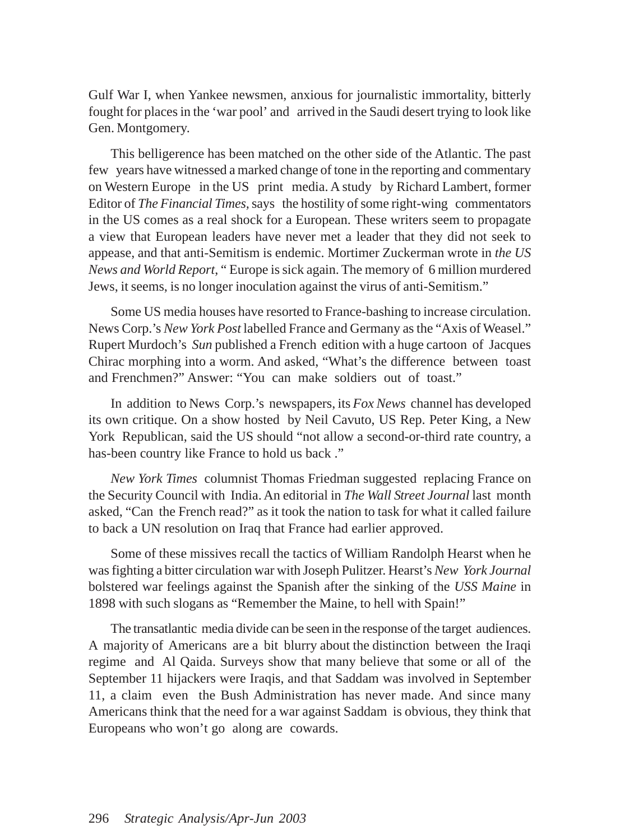Gulf War I, when Yankee newsmen, anxious for journalistic immortality, bitterly fought for places in the 'war pool' and arrived in the Saudi desert trying to look like Gen. Montgomery.

This belligerence has been matched on the other side of the Atlantic. The past few years have witnessed a marked change of tone in the reporting and commentary on Western Europe in the US print media. A study by Richard Lambert, former Editor of *The Financial Times,* says the hostility of some right-wing commentators in the US comes as a real shock for a European. These writers seem to propagate a view that European leaders have never met a leader that they did not seek to appease, and that anti-Semitism is endemic. Mortimer Zuckerman wrote in *the US News and World Report*, " Europe is sick again. The memory of 6 million murdered Jews, it seems, is no longer inoculation against the virus of anti-Semitism."

Some US media houses have resorted to France-bashing to increase circulation. News Corp.'s *New York Post* labelled France and Germany as the "Axis of Weasel." Rupert Murdoch's *Sun* published a French edition with a huge cartoon of Jacques Chirac morphing into a worm. And asked, "What's the difference between toast and Frenchmen?" Answer: "You can make soldiers out of toast."

In addition to News Corp.'s newspapers, its *Fox News* channel has developed its own critique. On a show hosted by Neil Cavuto, US Rep. Peter King, a New York Republican, said the US should "not allow a second-or-third rate country, a has-been country like France to hold us back ."

*New York Times* columnist Thomas Friedman suggested replacing France on the Security Council with India. An editorial in *The Wall Street Journal* last month asked, "Can the French read?" as it took the nation to task for what it called failure to back a UN resolution on Iraq that France had earlier approved.

Some of these missives recall the tactics of William Randolph Hearst when he was fighting a bitter circulation war with Joseph Pulitzer. Hearst's *New York Journal* bolstered war feelings against the Spanish after the sinking of the *USS Maine* in 1898 with such slogans as "Remember the Maine, to hell with Spain!"

The transatlantic media divide can be seen in the response of the target audiences. A majority of Americans are a bit blurry about the distinction between the Iraqi regime and Al Qaida. Surveys show that many believe that some or all of the September 11 hijackers were Iraqis, and that Saddam was involved in September 11, a claim even the Bush Administration has never made. And since many Americans think that the need for a war against Saddam is obvious, they think that Europeans who won't go along are cowards.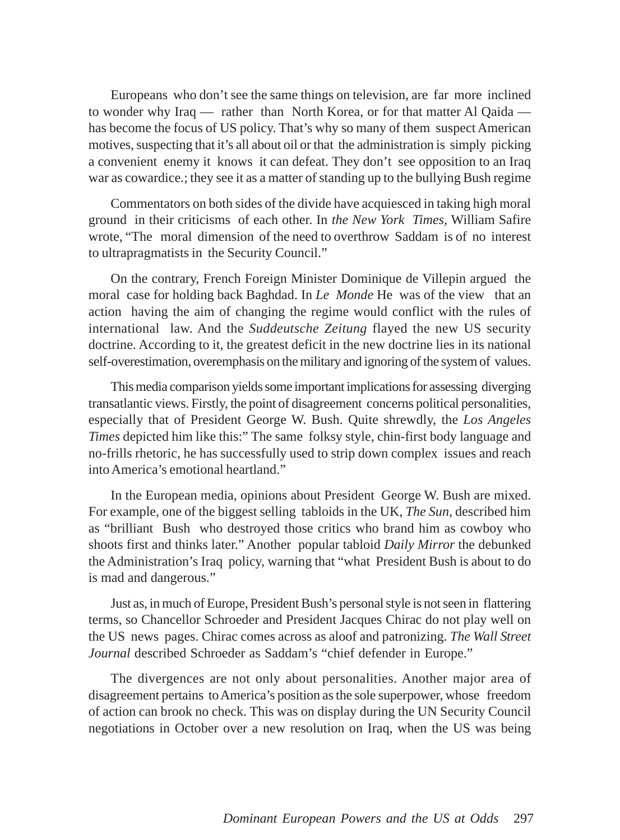Europeans who don't see the same things on television, are far more inclined to wonder why Iraq — rather than North Korea, or for that matter Al Qaida has become the focus of US policy. That's why so many of them suspect American motives, suspecting that it's all about oil or that the administration is simply picking a convenient enemy it knows it can defeat. They don't see opposition to an Iraq war as cowardice.; they see it as a matter of standing up to the bullying Bush regime

Commentators on both sides of the divide have acquiesced in taking high moral ground in their criticisms of each other. In *the New York Times,* William Safire wrote, "The moral dimension of the need to overthrow Saddam is of no interest to ultrapragmatists in the Security Council."

On the contrary, French Foreign Minister Dominique de Villepin argued the moral case for holding back Baghdad. In *Le Monde* He was of the view that an action having the aim of changing the regime would conflict with the rules of international law. And the *Suddeutsche Zeitung* flayed the new US security doctrine. According to it, the greatest deficit in the new doctrine lies in its national self-overestimation, overemphasis on the military and ignoring of the system of values.

This media comparison yields some important implications for assessing diverging transatlantic views. Firstly, the point of disagreement concerns political personalities, especially that of President George W. Bush. Quite shrewdly, the *Los Angeles Times* depicted him like this:" The same folksy style, chin-first body language and no-frills rhetoric, he has successfully used to strip down complex issues and reach into America's emotional heartland."

In the European media, opinions about President George W. Bush are mixed. For example, one of the biggest selling tabloids in the UK, *The Sun,* described him as "brilliant Bush who destroyed those critics who brand him as cowboy who shoots first and thinks later." Another popular tabloid *Daily Mirror* the debunked the Administration's Iraq policy, warning that "what President Bush is about to do is mad and dangerous."

Just as, in much of Europe, President Bush's personal style is not seen in flattering terms, so Chancellor Schroeder and President Jacques Chirac do not play well on the US news pages. Chirac comes across as aloof and patronizing. *The Wall Street Journal* described Schroeder as Saddam's "chief defender in Europe."

The divergences are not only about personalities. Another major area of disagreement pertains to America's position as the sole superpower, whose freedom of action can brook no check. This was on display during the UN Security Council negotiations in October over a new resolution on Iraq, when the US was being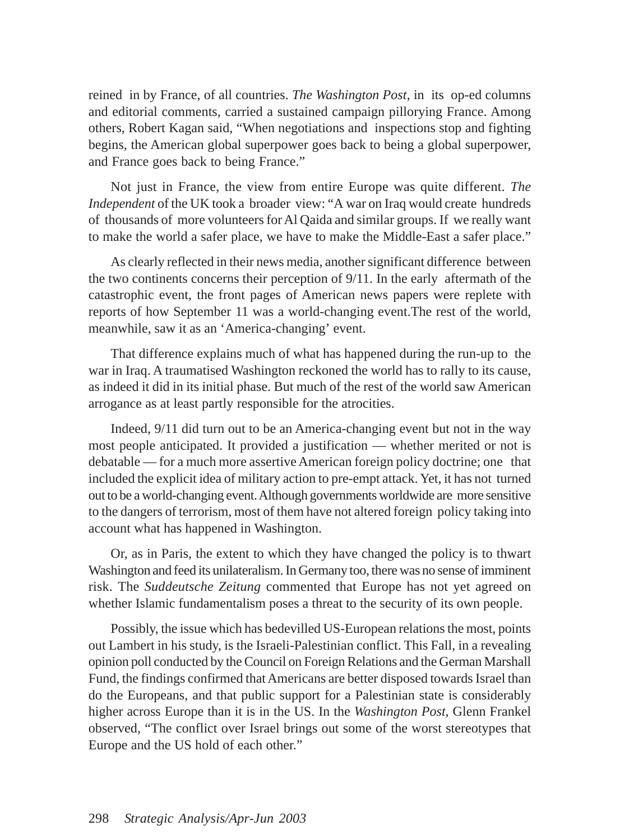reined in by France, of all countries. *The Washington Post*, in its op-ed columns and editorial comments, carried a sustained campaign pillorying France. Among others, Robert Kagan said, "When negotiations and inspections stop and fighting begins, the American global superpower goes back to being a global superpower, and France goes back to being France."

Not just in France, the view from entire Europe was quite different. *The Independent* of the UK took a broader view: "A war on Iraq would create hundreds of thousands of more volunteers for Al Qaida and similar groups. If we really want to make the world a safer place, we have to make the Middle-East a safer place."

As clearly reflected in their news media, another significant difference between the two continents concerns their perception of  $9/11$ . In the early aftermath of the catastrophic event, the front pages of American news papers were replete with reports of how September 11 was a world-changing event.The rest of the world, meanwhile, saw it as an 'America-changing' event.

That difference explains much of what has happened during the run-up to the war in Iraq. A traumatised Washington reckoned the world has to rally to its cause, as indeed it did in its initial phase. But much of the rest of the world saw American arrogance as at least partly responsible for the atrocities.

Indeed, 9/11 did turn out to be an America-changing event but not in the way most people anticipated. It provided a justification — whether merited or not is debatable — for a much more assertive American foreign policy doctrine; one that included the explicit idea of military action to pre-empt attack. Yet, it has not turned out to be a world-changing event. Although governments worldwide are more sensitive to the dangers of terrorism, most of them have not altered foreign policy taking into account what has happened in Washington.

Or, as in Paris, the extent to which they have changed the policy is to thwart Washington and feed its unilateralism. In Germany too, there was no sense of imminent risk. The *Suddeutsche Zeitung* commented that Europe has not yet agreed on whether Islamic fundamentalism poses a threat to the security of its own people.

Possibly, the issue which has bedevilled US-European relations the most, points out Lambert in his study, is the Israeli-Palestinian conflict. This Fall, in a revealing opinion poll conducted by the Council on Foreign Relations and the German Marshall Fund, the findings confirmed that Americans are better disposed towards Israel than do the Europeans, and that public support for a Palestinian state is considerably higher across Europe than it is in the US. In the *Washington Post*, Glenn Frankel observed, "The conflict over Israel brings out some of the worst stereotypes that Europe and the US hold of each other."